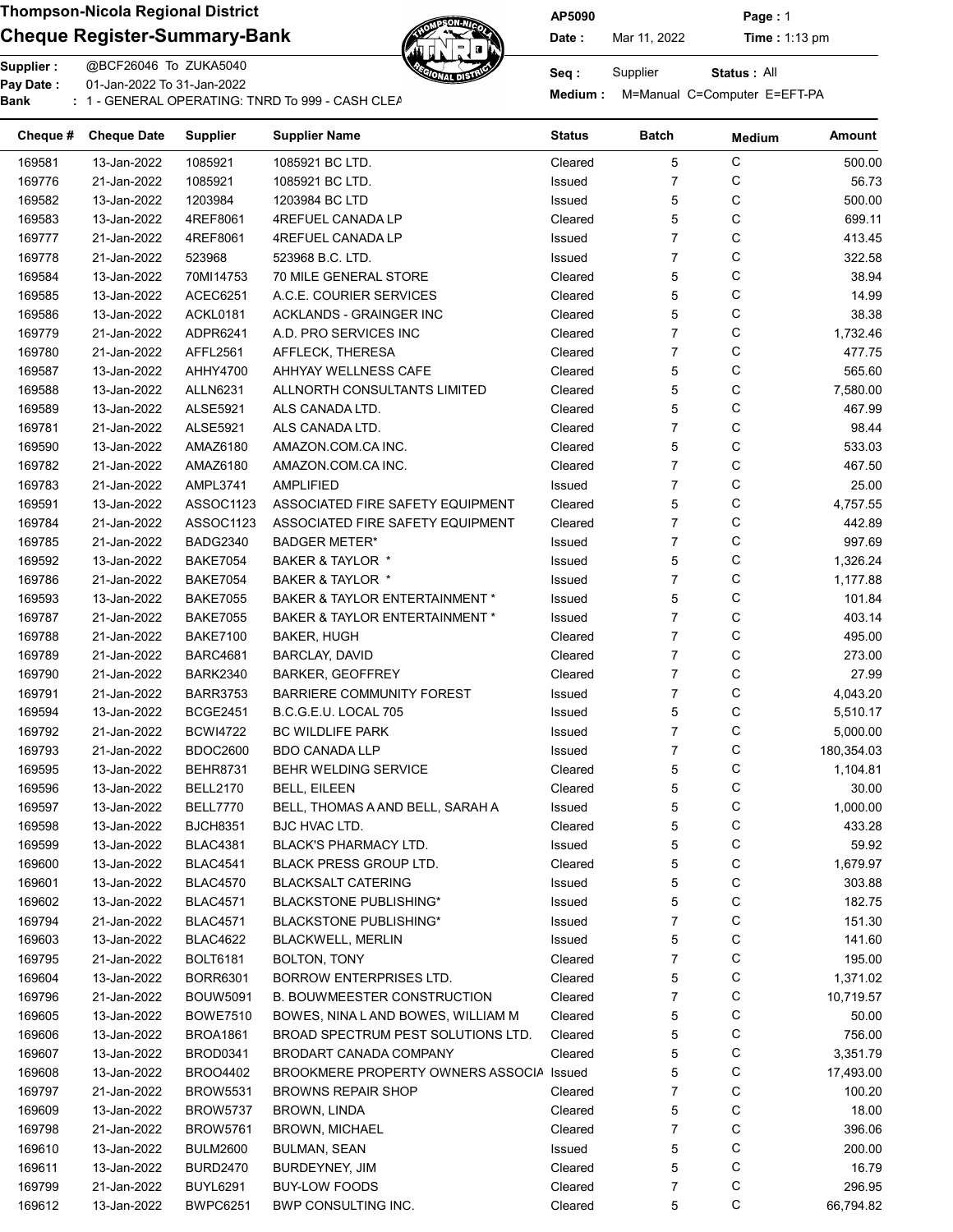# Cheque Register-Summary-Bank Date: Nar 11, 2022 Time : 1:13 pm



Supplier : @BCF26046 To ZUKA5040 Seq : Supplier 01-Jan-2022 To 31-Jan-2022

Pay Date : Constant Collection of the Manual C=Computer E=EFT-PA<br>Bank : 1 - GENERAL OPERATING: TNRD To 999 - CASH CLEARNING BANKING BANKING Medium : M=Manual C=Computer E=EFT-PA

AP5090 Page : 1

Status : All

| Cheque # | <b>Cheque Date</b> | <b>Supplier</b> | <b>Supplier Name</b>               | <b>Status</b> | <b>Batch</b>   | <b>Medium</b> | Amount     |
|----------|--------------------|-----------------|------------------------------------|---------------|----------------|---------------|------------|
| 169581   | 13-Jan-2022        | 1085921         | 1085921 BC LTD.                    | Cleared       | 5              | С             | 500.00     |
| 169776   | 21-Jan-2022        | 1085921         | 1085921 BC LTD.                    | Issued        | $\overline{7}$ | С             | 56.73      |
| 169582   | 13-Jan-2022        | 1203984         | 1203984 BC LTD                     | <b>Issued</b> | 5              | C             | 500.00     |
| 169583   | 13-Jan-2022        | 4REF8061        | 4REFUEL CANADA LP                  | Cleared       | 5              | C             | 699.11     |
| 169777   | 21-Jan-2022        | 4REF8061        | 4REFUEL CANADA LP                  | Issued        | $\overline{7}$ | С             | 413.45     |
| 169778   | 21-Jan-2022        | 523968          | 523968 B.C. LTD.                   | Issued        | $\overline{7}$ | C             | 322.58     |
| 169584   | 13-Jan-2022        | 70MI14753       | 70 MILE GENERAL STORE              | Cleared       | 5              | C             | 38.94      |
| 169585   | 13-Jan-2022        | ACEC6251        | A.C.E. COURIER SERVICES            | Cleared       | 5              | C             | 14.99      |
| 169586   | 13-Jan-2022        | ACKL0181        | <b>ACKLANDS - GRAINGER INC</b>     | Cleared       | 5              | С             | 38.38      |
| 169779   | 21-Jan-2022        | ADPR6241        | A.D. PRO SERVICES INC              | Cleared       | $\overline{7}$ | С             | 1,732.46   |
| 169780   | 21-Jan-2022        | AFFL2561        | AFFLECK, THERESA                   | Cleared       | $\overline{7}$ | С             | 477.75     |
| 169587   | 13-Jan-2022        | AHHY4700        | AHHYAY WELLNESS CAFE               | Cleared       | 5              | С             | 565.60     |
| 169588   | 13-Jan-2022        | <b>ALLN6231</b> | ALLNORTH CONSULTANTS LIMITED       | Cleared       | 5              | С             | 7,580.00   |
| 169589   | 13-Jan-2022        | <b>ALSE5921</b> | ALS CANADA LTD.                    | Cleared       | 5              | С             | 467.99     |
| 169781   | 21-Jan-2022        | <b>ALSE5921</b> | ALS CANADA LTD.                    | Cleared       | $\overline{7}$ | С             | 98.44      |
| 169590   | 13-Jan-2022        | AMAZ6180        | AMAZON.COM.CA INC.                 | Cleared       | 5              | С             | 533.03     |
| 169782   | 21-Jan-2022        | AMAZ6180        | AMAZON COM CA INC.                 | Cleared       | $\overline{7}$ | С             | 467.50     |
| 169783   | 21-Jan-2022        | AMPL3741        | AMPLIFIED                          | <b>Issued</b> | $\overline{7}$ | С             | 25.00      |
| 169591   | 13-Jan-2022        | ASSOC1123       | ASSOCIATED FIRE SAFETY EQUIPMENT   | Cleared       | 5              | С             | 4,757.55   |
| 169784   | 21-Jan-2022        | ASSOC1123       | ASSOCIATED FIRE SAFETY EQUIPMENT   | Cleared       | $\overline{7}$ | C             | 442.89     |
| 169785   | 21-Jan-2022        | <b>BADG2340</b> | <b>BADGER METER*</b>               | Issued        | $\overline{7}$ | C             | 997.69     |
| 169592   | 13-Jan-2022        | <b>BAKE7054</b> | BAKER & TAYLOR *                   | Issued        | 5              | C             | 1,326.24   |
|          |                    |                 |                                    |               |                |               |            |
| 169786   | 21-Jan-2022        | <b>BAKE7054</b> | BAKER & TAYLOR *                   | Issued        | $\overline{7}$ | С             | 1,177.88   |
| 169593   | 13-Jan-2022        | <b>BAKE7055</b> | BAKER & TAYLOR ENTERTAINMENT *     | Issued        | 5              | C             | 101.84     |
| 169787   | 21-Jan-2022        | <b>BAKE7055</b> | BAKER & TAYLOR ENTERTAINMENT *     | Issued        | $\overline{7}$ | C             | 403.14     |
| 169788   | 21-Jan-2022        | <b>BAKE7100</b> | <b>BAKER, HUGH</b>                 | Cleared       | $\overline{7}$ | C             | 495.00     |
| 169789   | 21-Jan-2022        | <b>BARC4681</b> | <b>BARCLAY, DAVID</b>              | Cleared       | $\overline{7}$ | С             | 273.00     |
| 169790   | 21-Jan-2022        | <b>BARK2340</b> | <b>BARKER, GEOFFREY</b>            | Cleared       | $\overline{7}$ | С             | 27.99      |
| 169791   | 21-Jan-2022        | <b>BARR3753</b> | <b>BARRIERE COMMUNITY FOREST</b>   | Issued        | $\overline{7}$ | C             | 4,043.20   |
| 169594   | 13-Jan-2022        | <b>BCGE2451</b> | B.C.G.E.U. LOCAL 705               | Issued        | 5              | С             | 5,510.17   |
| 169792   | 21-Jan-2022        | <b>BCWI4722</b> | <b>BC WILDLIFE PARK</b>            | Issued        | $\overline{7}$ | С             | 5,000.00   |
| 169793   | 21-Jan-2022        | <b>BDOC2600</b> | <b>BDO CANADA LLP</b>              | Issued        | $\overline{7}$ | С             | 180,354.03 |
| 169595   | 13-Jan-2022        | <b>BEHR8731</b> | BEHR WELDING SERVICE               | Cleared       | 5              | С             | 1,104.81   |
| 169596   | 13-Jan-2022        | <b>BELL2170</b> | <b>BELL, EILEEN</b>                | Cleared       | 5              | С             | 30.00      |
| 169597   | 13-Jan-2022        | BELL7770        | BELL, THOMAS A AND BELL, SARAH A   | Issued        | 5              | C             | 1,000.00   |
| 169598   | 13-Jan-2022        | <b>BJCH8351</b> | BJC HVAC LTD.                      | Cleared       | 5              | С             | 433.28     |
| 169599   | 13-Jan-2022        | <b>BLAC4381</b> | <b>BLACK'S PHARMACY LTD.</b>       | Issued        | 5              | C             | 59.92      |
| 169600   | 13-Jan-2022        | <b>BLAC4541</b> | BLACK PRESS GROUP LTD.             | Cleared       | 5              | C             | 1,679.97   |
| 169601   | 13-Jan-2022        | <b>BLAC4570</b> | <b>BLACKSALT CATERING</b>          | Issued        | 5              | C             | 303.88     |
| 169602   | 13-Jan-2022        | <b>BLAC4571</b> | <b>BLACKSTONE PUBLISHING*</b>      | Issued        | 5              | C             | 182.75     |
| 169794   | 21-Jan-2022        | <b>BLAC4571</b> | <b>BLACKSTONE PUBLISHING*</b>      | Issued        | 7              | C             | 151.30     |
| 169603   | 13-Jan-2022        | <b>BLAC4622</b> | <b>BLACKWELL, MERLIN</b>           | Issued        | 5              | C             | 141.60     |
| 169795   | 21-Jan-2022        | <b>BOLT6181</b> | <b>BOLTON, TONY</b>                | Cleared       | 7              | C             | 195.00     |
| 169604   | 13-Jan-2022        | <b>BORR6301</b> | BORROW ENTERPRISES LTD.            | Cleared       | 5              | C             | 1,371.02   |
| 169796   | 21-Jan-2022        | <b>BOUW5091</b> | <b>B. BOUWMEESTER CONSTRUCTION</b> | Cleared       | 7              | C             | 10,719.57  |
| 169605   | 13-Jan-2022        | <b>BOWE7510</b> | BOWES, NINA LAND BOWES, WILLIAM M  | Cleared       | 5              | C             | 50.00      |
| 169606   | 13-Jan-2022        | <b>BROA1861</b> | BROAD SPECTRUM PEST SOLUTIONS LTD. | Cleared       | 5              | C             | 756.00     |
| 169607   | 13-Jan-2022        | BROD0341        | BRODART CANADA COMPANY             | Cleared       | 5              | C             | 3,351.79   |
| 169608   | 13-Jan-2022        | BRO04402        | BROOKMERE PROPERTY OWNERS ASSOCIA  | Issued        | 5              | C             | 17,493.00  |
| 169797   | 21-Jan-2022        | <b>BROW5531</b> | <b>BROWNS REPAIR SHOP</b>          | Cleared       | 7              | C             | 100.20     |
| 169609   | 13-Jan-2022        | BROW5737        | <b>BROWN, LINDA</b>                | Cleared       | 5              | C             | 18.00      |
| 169798   | 21-Jan-2022        | <b>BROW5761</b> | <b>BROWN, MICHAEL</b>              | Cleared       | 7              | C             | 396.06     |
| 169610   | 13-Jan-2022        | <b>BULM2600</b> | <b>BULMAN, SEAN</b>                | Issued        | 5              | C             | 200.00     |
| 169611   | 13-Jan-2022        | <b>BURD2470</b> | BURDEYNEY, JIM                     | Cleared       | 5              | С             | 16.79      |
| 169799   | 21-Jan-2022        | BUYL6291        | <b>BUY-LOW FOODS</b>               | Cleared       | 7              | C             | 296.95     |
|          |                    |                 | BWP CONSULTING INC.                |               | 5              | С             |            |
| 169612   | 13-Jan-2022        | <b>BWPC6251</b> |                                    | Cleared       |                |               | 66,794.82  |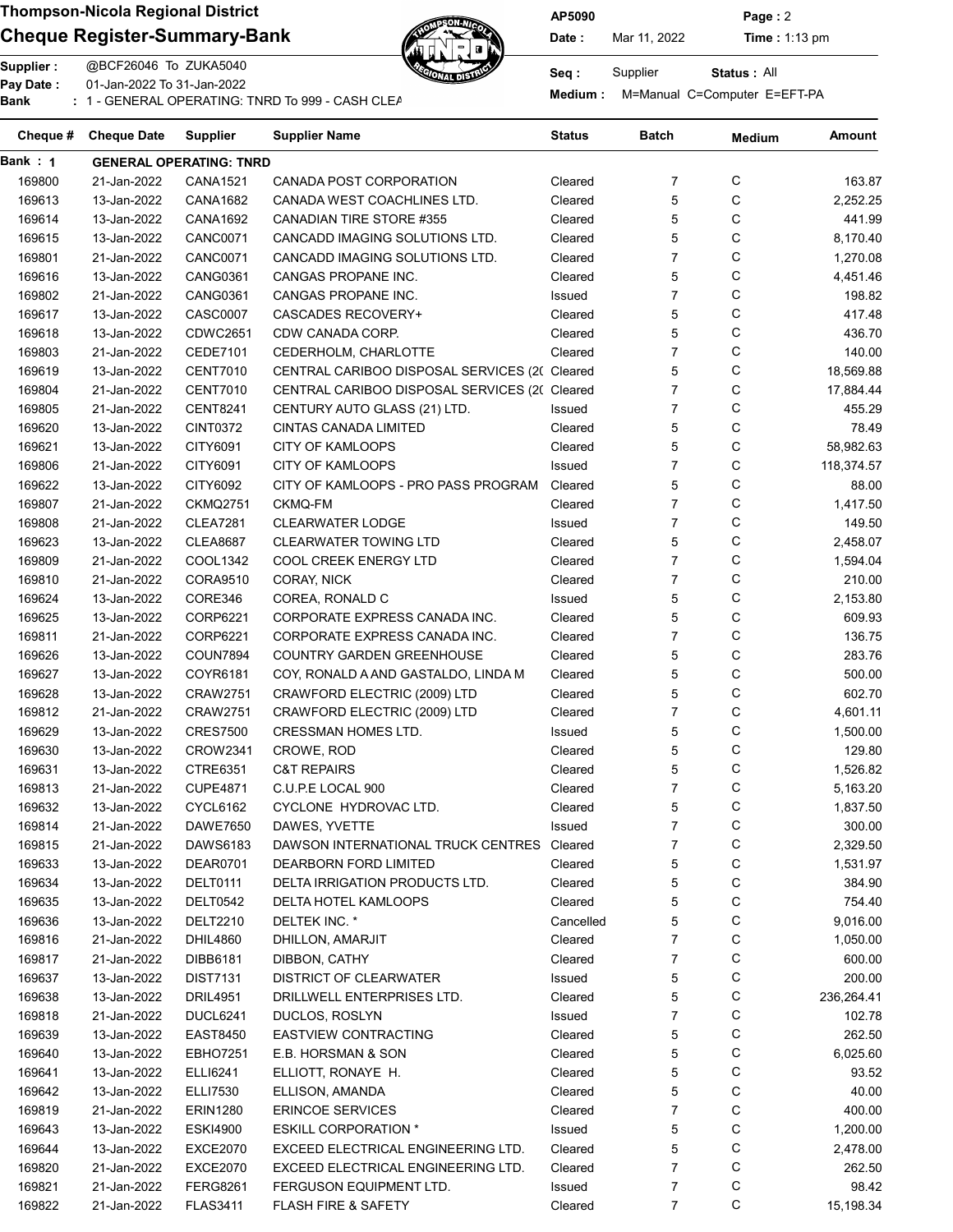### Cheque Register-Summary-Bank Date: Nar 11, 2022 Time : 1:13 pm



AP5090 Page : 2

Supplier : @BCF26046 To ZUKA5040 Seq : Supplier Pay Date : 01-Jan-2022 To 31-Jan-2022

Pay Date : Constant Collection of Seconds Constant Dumanual Constant Constant Operations of the Bank in the Seconds Suspense Bank in the Seconds of the Seconds Bank in the General Seconds Bank in the Seconds Suspense Bank

Status : All

| Cheque # | <b>Cheque Date</b> | <b>Supplier</b>                | <b>Supplier Name</b>                          | <b>Status</b> | <b>Batch</b>   | <b>Medium</b> | Amount     |
|----------|--------------------|--------------------------------|-----------------------------------------------|---------------|----------------|---------------|------------|
| Bank : 1 |                    | <b>GENERAL OPERATING: TNRD</b> |                                               |               |                |               |            |
| 169800   | 21-Jan-2022        | <b>CANA1521</b>                | CANADA POST CORPORATION                       | Cleared       | 7              | С             | 163.87     |
| 169613   | 13-Jan-2022        | <b>CANA1682</b>                | CANADA WEST COACHLINES LTD.                   | Cleared       | 5              | C             | 2,252.25   |
| 169614   | 13-Jan-2022        | CANA1692                       | CANADIAN TIRE STORE #355                      | Cleared       | 5              | С             | 441.99     |
| 169615   | 13-Jan-2022        | <b>CANC0071</b>                | CANCADD IMAGING SOLUTIONS LTD.                | Cleared       | 5              | С             | 8,170.40   |
| 169801   | 21-Jan-2022        | <b>CANC0071</b>                | CANCADD IMAGING SOLUTIONS LTD.                | Cleared       | $\overline{7}$ | С             | 1,270.08   |
| 169616   | 13-Jan-2022        | <b>CANG0361</b>                | CANGAS PROPANE INC.                           | Cleared       | 5              | С             | 4,451.46   |
| 169802   | 21-Jan-2022        | <b>CANG0361</b>                | CANGAS PROPANE INC.                           | Issued        | $\overline{7}$ | С             | 198.82     |
| 169617   | 13-Jan-2022        | <b>CASC0007</b>                | <b>CASCADES RECOVERY+</b>                     | Cleared       | 5              | С             | 417.48     |
| 169618   | 13-Jan-2022        | <b>CDWC2651</b>                | CDW CANADA CORP.                              | Cleared       | 5              | С             | 436.70     |
| 169803   | 21-Jan-2022        | <b>CEDE7101</b>                | CEDERHOLM, CHARLOTTE                          | Cleared       | $\overline{7}$ | C             | 140.00     |
| 169619   | 13-Jan-2022        | <b>CENT7010</b>                | CENTRAL CARIBOO DISPOSAL SERVICES (2( Cleared |               | 5              | C             | 18,569.88  |
| 169804   | 21-Jan-2022        | <b>CENT7010</b>                | CENTRAL CARIBOO DISPOSAL SERVICES (2( Cleared |               | $\overline{7}$ | С             | 17,884.44  |
| 169805   | 21-Jan-2022        | <b>CENT8241</b>                | CENTURY AUTO GLASS (21) LTD.                  | Issued        | $\overline{7}$ | С             | 455.29     |
| 169620   | 13-Jan-2022        | <b>CINT0372</b>                | <b>CINTAS CANADA LIMITED</b>                  | Cleared       | 5              | С             | 78.49      |
| 169621   | 13-Jan-2022        | CITY6091                       | <b>CITY OF KAMLOOPS</b>                       | Cleared       | 5              | С             | 58,982.63  |
| 169806   | 21-Jan-2022        | CITY6091                       | <b>CITY OF KAMLOOPS</b>                       | Issued        | 7              | С             | 118,374.57 |
| 169622   | 13-Jan-2022        | CITY6092                       | CITY OF KAMLOOPS - PRO PASS PROGRAM           | Cleared       | 5              | С             | 88.00      |
| 169807   | 21-Jan-2022        | <b>CKMQ2751</b>                | CKMQ-FM                                       | Cleared       | $\overline{7}$ | C             | 1,417.50   |
| 169808   | 21-Jan-2022        | <b>CLEA7281</b>                | <b>CLEARWATER LODGE</b>                       | Issued        | $\overline{7}$ | С             | 149.50     |
| 169623   | 13-Jan-2022        | <b>CLEA8687</b>                | <b>CLEARWATER TOWING LTD</b>                  | Cleared       | 5              | С             | 2,458.07   |
| 169809   | 21-Jan-2022        | COOL1342                       | COOL CREEK ENERGY LTD                         | Cleared       | $\overline{7}$ | С             |            |
|          |                    |                                | CORAY, NICK                                   |               | $\overline{7}$ | С             | 1,594.04   |
| 169810   | 21-Jan-2022        | CORA9510                       |                                               | Cleared       |                | С             | 210.00     |
| 169624   | 13-Jan-2022        | CORE346                        | COREA, RONALD C                               | Issued        | 5              |               | 2,153.80   |
| 169625   | 13-Jan-2022        | CORP6221                       | CORPORATE EXPRESS CANADA INC.                 | Cleared       | 5<br>7         | С             | 609.93     |
| 169811   | 21-Jan-2022        | <b>CORP6221</b>                | CORPORATE EXPRESS CANADA INC.                 | Cleared       |                | C             | 136.75     |
| 169626   | 13-Jan-2022        | <b>COUN7894</b>                | <b>COUNTRY GARDEN GREENHOUSE</b>              | Cleared       | 5              | C             | 283.76     |
| 169627   | 13-Jan-2022        | COYR6181                       | COY, RONALD A AND GASTALDO, LINDA M           | Cleared       | 5              | C             | 500.00     |
| 169628   | 13-Jan-2022        | <b>CRAW2751</b>                | CRAWFORD ELECTRIC (2009) LTD                  | Cleared       | 5              | C             | 602.70     |
| 169812   | 21-Jan-2022        | <b>CRAW2751</b>                | CRAWFORD ELECTRIC (2009) LTD                  | Cleared       | 7              | C             | 4,601.11   |
| 169629   | 13-Jan-2022        | <b>CRES7500</b>                | <b>CRESSMAN HOMES LTD.</b>                    | Issued        | 5              | С             | 1,500.00   |
| 169630   | 13-Jan-2022        | <b>CROW2341</b>                | CROWE, ROD                                    | Cleared       | 5              | С             | 129.80     |
| 169631   | 13-Jan-2022        | CTRE6351                       | <b>C&amp;T REPAIRS</b>                        | Cleared       | 5              | С             | 1,526.82   |
| 169813   | 21-Jan-2022        | <b>CUPE4871</b>                | C.U.P.E LOCAL 900                             | Cleared       | 7              | С             | 5,163.20   |
| 169632   | 13-Jan-2022        | <b>CYCL6162</b>                | CYCLONE HYDROVAC LTD.                         | Cleared       | 5              | C             | 1,837.50   |
| 169814   | 21-Jan-2022        | <b>DAWE7650</b>                | DAWES, YVETTE                                 | Issued        | 7              | $\cap$        | 300.00     |
| 169815   | 21-Jan-2022        | DAWS6183                       | DAWSON INTERNATIONAL TRUCK CENTRES Cleared    |               | 7              | С             | 2,329.50   |
| 169633   | 13-Jan-2022        | DEAR0701                       | DEARBORN FORD LIMITED                         | Cleared       | 5              | C             | 1,531.97   |
| 169634   | 13-Jan-2022        | DELT0111                       | DELTA IRRIGATION PRODUCTS LTD.                | Cleared       | 5              | C             | 384.90     |
| 169635   | 13-Jan-2022        | <b>DELT0542</b>                | DELTA HOTEL KAMLOOPS                          | Cleared       | 5              | C             | 754.40     |
| 169636   | 13-Jan-2022        | DELT2210                       | DELTEK INC. *                                 | Cancelled     | 5              | C             | 9,016.00   |
| 169816   | 21-Jan-2022        | <b>DHIL4860</b>                | DHILLON, AMARJIT                              | Cleared       | 7              | C             | 1,050.00   |
| 169817   | 21-Jan-2022        | DIBB6181                       | DIBBON, CATHY                                 | Cleared       | 7              | C             | 600.00     |
| 169637   | 13-Jan-2022        | <b>DIST7131</b>                | <b>DISTRICT OF CLEARWATER</b>                 | Issued        | 5              | C             | 200.00     |
| 169638   | 13-Jan-2022        | DRIL4951                       | DRILLWELL ENTERPRISES LTD.                    | Cleared       | 5              | C             | 236,264.41 |
| 169818   | 21-Jan-2022        | <b>DUCL6241</b>                | DUCLOS, ROSLYN                                | Issued        | 7              | C             | 102.78     |
| 169639   | 13-Jan-2022        | <b>EAST8450</b>                | <b>EASTVIEW CONTRACTING</b>                   | Cleared       | 5              | C             | 262.50     |
| 169640   | 13-Jan-2022        | EBHO7251                       | E.B. HORSMAN & SON                            | Cleared       | 5              | C             | 6,025.60   |
| 169641   | 13-Jan-2022        | ELLI6241                       | ELLIOTT, RONAYE H.                            | Cleared       | 5              | C             | 93.52      |
| 169642   | 13-Jan-2022        | <b>ELLI7530</b>                | ELLISON, AMANDA                               | Cleared       | 5              | C             | 40.00      |
| 169819   | 21-Jan-2022        | ERIN1280                       | <b>ERINCOE SERVICES</b>                       | Cleared       | 7              | C             | 400.00     |
| 169643   | 13-Jan-2022        | <b>ESKI4900</b>                | <b>ESKILL CORPORATION *</b>                   | Issued        | 5              | C             | 1,200.00   |
| 169644   | 13-Jan-2022        | <b>EXCE2070</b>                | EXCEED ELECTRICAL ENGINEERING LTD.            | Cleared       | 5              | C             | 2,478.00   |
| 169820   | 21-Jan-2022        | <b>EXCE2070</b>                | EXCEED ELECTRICAL ENGINEERING LTD.            | Cleared       | 7              | С             | 262.50     |
| 169821   | 21-Jan-2022        | FERG8261                       | FERGUSON EQUIPMENT LTD.                       | Issued        | 7              | C             | 98.42      |
| 169822   | 21-Jan-2022        | <b>FLAS3411</b>                | FLASH FIRE & SAFETY                           | Cleared       | 7              | С             | 15,198.34  |
|          |                    |                                |                                               |               |                |               |            |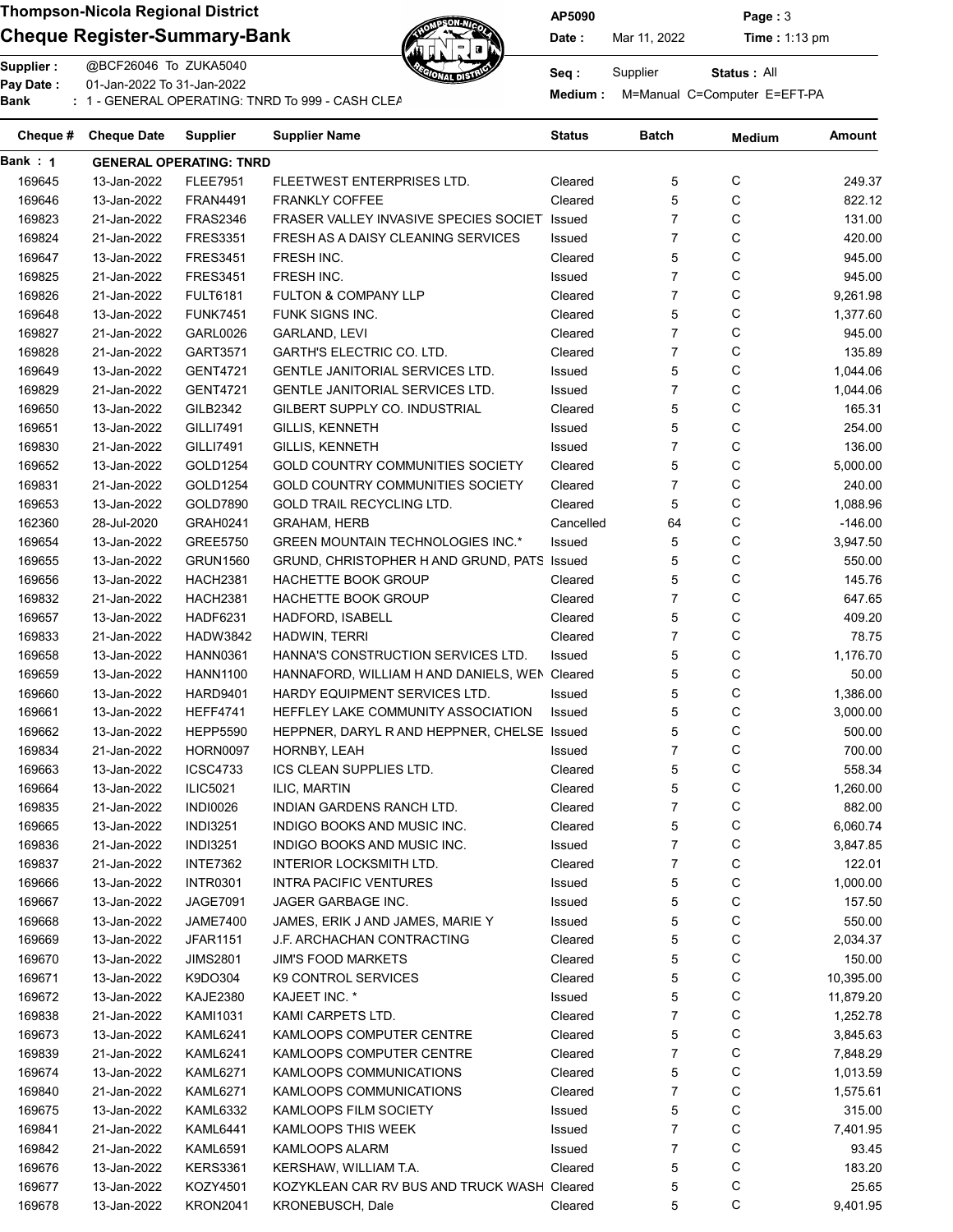## Cheque Register-Summary-Bank Date: Nar 11, 2022 Time : 1:13 pm



AP5090 Page : 3

Status : All

Supplier : @BCF26046 To ZUKA5040 Seq : Supplier Pay Date : 01-Jan-2022 To 31-Jan-2022 Pay Date : Constant Collection of the Manual C=Computer E=EFT-PA<br>Bank : 1 - GENERAL OPERATING: TNRD To 999 - CASH CLEARNING BANKING BANKING Medium : M=Manual C=Computer E=EFT-PA

| Cheque # | <b>Cheque Date</b> | <b>Supplier</b>                | <b>Supplier Name</b>                          | Status    | Batch          | <b>Medium</b> | <b>Amount</b> |
|----------|--------------------|--------------------------------|-----------------------------------------------|-----------|----------------|---------------|---------------|
| Bank : 1 |                    | <b>GENERAL OPERATING: TNRD</b> |                                               |           |                |               |               |
| 169645   | 13-Jan-2022        | <b>FLEE7951</b>                | FLEETWEST ENTERPRISES LTD.                    | Cleared   | 5              | С             | 249.37        |
| 169646   | 13-Jan-2022        | <b>FRAN4491</b>                | <b>FRANKLY COFFEE</b>                         | Cleared   | 5              | С             | 822.12        |
| 169823   | 21-Jan-2022        | <b>FRAS2346</b>                | FRASER VALLEY INVASIVE SPECIES SOCIET         | Issued    | $\overline{7}$ | C             | 131.00        |
| 169824   | 21-Jan-2022        | <b>FRES3351</b>                | FRESH AS A DAISY CLEANING SERVICES            | Issued    | $\overline{7}$ | С             | 420.00        |
| 169647   | 13-Jan-2022        | <b>FRES3451</b>                | FRESH INC.                                    | Cleared   | 5              | С             | 945.00        |
| 169825   | 21-Jan-2022        | <b>FRES3451</b>                | FRESH INC.                                    | Issued    | $\overline{7}$ | C             | 945.00        |
| 169826   | 21-Jan-2022        | <b>FULT6181</b>                | FULTON & COMPANY LLP                          | Cleared   | $\overline{7}$ | C             | 9,261.98      |
| 169648   | 13-Jan-2022        | <b>FUNK7451</b>                | FUNK SIGNS INC.                               | Cleared   | 5              | С             | 1,377.60      |
| 169827   | 21-Jan-2022        | GARL0026                       | <b>GARLAND, LEVI</b>                          | Cleared   | $\overline{7}$ | С             | 945.00        |
| 169828   | 21-Jan-2022        | GART3571                       | <b>GARTH'S ELECTRIC CO. LTD.</b>              | Cleared   | $\overline{7}$ | C             | 135.89        |
| 169649   | 13-Jan-2022        | <b>GENT4721</b>                | <b>GENTLE JANITORIAL SERVICES LTD.</b>        | Issued    | 5              | C             | 1,044.06      |
| 169829   | 21-Jan-2022        | <b>GENT4721</b>                | GENTLE JANITORIAL SERVICES LTD.               | Issued    | $\overline{7}$ | С             | 1,044.06      |
| 169650   | 13-Jan-2022        | GILB2342                       | GILBERT SUPPLY CO. INDUSTRIAL                 | Cleared   | 5              | С             | 165.31        |
| 169651   | 13-Jan-2022        | <b>GILLI7491</b>               | <b>GILLIS, KENNETH</b>                        | Issued    | 5              | C             | 254.00        |
| 169830   | 21-Jan-2022        | <b>GILLI7491</b>               | GILLIS, KENNETH                               | Issued    | $\overline{7}$ | C             | 136.00        |
| 169652   | 13-Jan-2022        | GOLD1254                       | GOLD COUNTRY COMMUNITIES SOCIETY              | Cleared   | 5              | С             | 5,000.00      |
| 169831   | 21-Jan-2022        | GOLD1254                       | <b>GOLD COUNTRY COMMUNITIES SOCIETY</b>       | Cleared   | $\overline{7}$ | С             | 240.00        |
|          |                    |                                |                                               |           | 5              | С             |               |
| 169653   | 13-Jan-2022        | GOLD7890                       | GOLD TRAIL RECYCLING LTD.                     | Cleared   |                |               | 1,088.96      |
| 162360   | 28-Jul-2020        | <b>GRAH0241</b>                | <b>GRAHAM, HERB</b>                           | Cancelled | 64             | С             | $-146.00$     |
| 169654   | 13-Jan-2022        | <b>GREE5750</b>                | <b>GREEN MOUNTAIN TECHNOLOGIES INC.*</b>      | Issued    | 5              | С             | 3,947.50      |
| 169655   | 13-Jan-2022        | <b>GRUN1560</b>                | GRUND, CHRISTOPHER H AND GRUND, PATS Issued   |           | 5              | С             | 550.00        |
| 169656   | 13-Jan-2022        | <b>HACH2381</b>                | HACHETTE BOOK GROUP                           | Cleared   | 5              | С             | 145.76        |
| 169832   | 21-Jan-2022        | <b>HACH2381</b>                | HACHETTE BOOK GROUP                           | Cleared   | $\overline{7}$ | С             | 647.65        |
| 169657   | 13-Jan-2022        | <b>HADF6231</b>                | HADFORD, ISABELL                              | Cleared   | 5              | C             | 409.20        |
| 169833   | 21-Jan-2022        | <b>HADW3842</b>                | HADWIN, TERRI                                 | Cleared   | $\overline{7}$ | C             | 78.75         |
| 169658   | 13-Jan-2022        | <b>HANN0361</b>                | HANNA'S CONSTRUCTION SERVICES LTD.            | Issued    | 5              | C             | 1,176.70      |
| 169659   | 13-Jan-2022        | <b>HANN1100</b>                | HANNAFORD, WILLIAM H AND DANIELS, WEN Cleared |           | 5              | C             | 50.00         |
| 169660   | 13-Jan-2022        | <b>HARD9401</b>                | <b>HARDY EQUIPMENT SERVICES LTD.</b>          | Issued    | 5              | C             | 1,386.00      |
| 169661   | 13-Jan-2022        | <b>HEFF4741</b>                | HEFFLEY LAKE COMMUNITY ASSOCIATION            | Issued    | 5              | C             | 3,000.00      |
| 169662   | 13-Jan-2022        | <b>HEPP5590</b>                | HEPPNER, DARYL R AND HEPPNER, CHELSE Issued   |           | 5              | С             | 500.00        |
| 169834   | 21-Jan-2022        | <b>HORN0097</b>                | HORNBY, LEAH                                  | Issued    | $\overline{7}$ | С             | 700.00        |
| 169663   | 13-Jan-2022        | <b>ICSC4733</b>                | ICS CLEAN SUPPLIES LTD.                       | Cleared   | 5              | C             | 558.34        |
| 169664   | 13-Jan-2022        | <b>ILIC5021</b>                | ILIC, MARTIN                                  | Cleared   | 5              | C             | 1,260.00      |
| 169835   | 21-Jan-2022        | <b>INDI0026</b>                | <b>INDIAN GARDENS RANCH LTD.</b>              | Cleared   | $\overline{7}$ | C             | 882.00        |
| 169665   | 13-Jan-2022        | <b>INDI3251</b>                | INDIGO BOOKS AND MUSIC INC.                   | Cleared   | 5              | C             | 6,060.74      |
| 169836   | 21-Jan-2022        | <b>INDI3251</b>                | INDIGO BOOKS AND MUSIC INC.                   | Issued    | 7              | C             | 3,847.85      |
| 169837   | 21-Jan-2022        | <b>INTE7362</b>                | INTERIOR LOCKSMITH LTD.                       | Cleared   | 7              | C             | 122.01        |
| 169666   | 13-Jan-2022        | <b>INTR0301</b>                | <b>INTRA PACIFIC VENTURES</b>                 | Issued    | 5              | C             | 1,000.00      |
| 169667   | 13-Jan-2022        | JAGE7091                       | JAGER GARBAGE INC.                            | Issued    | 5              | C             | 157.50        |
| 169668   | 13-Jan-2022        | <b>JAME7400</b>                | JAMES, ERIK JAND JAMES, MARIE Y               | Issued    | 5              | C             | 550.00        |
| 169669   | 13-Jan-2022        | <b>JFAR1151</b>                | J.F. ARCHACHAN CONTRACTING                    | Cleared   | 5              | C             | 2,034.37      |
| 169670   | 13-Jan-2022        | <b>JIMS2801</b>                | <b>JIM'S FOOD MARKETS</b>                     | Cleared   | 5              | C             | 150.00        |
| 169671   | 13-Jan-2022        | K9DO304                        | K9 CONTROL SERVICES                           | Cleared   | 5              | C             | 10,395.00     |
| 169672   | 13-Jan-2022        | <b>KAJE2380</b>                | KAJEET INC. *                                 | Issued    | 5              | C             | 11,879.20     |
| 169838   | 21-Jan-2022        | KAMI1031                       | KAMI CARPETS LTD.                             | Cleared   | 7              | C             | 1,252.78      |
| 169673   | 13-Jan-2022        | KAML6241                       | KAMLOOPS COMPUTER CENTRE                      | Cleared   | 5              | C             | 3,845.63      |
| 169839   | 21-Jan-2022        | <b>KAML6241</b>                | KAMLOOPS COMPUTER CENTRE                      | Cleared   | 7              | C             | 7,848.29      |
| 169674   | 13-Jan-2022        | KAML6271                       | KAMLOOPS COMMUNICATIONS                       | Cleared   | 5              | C             | 1,013.59      |
|          |                    |                                | KAMLOOPS COMMUNICATIONS                       | Cleared   | 7              | C             |               |
| 169840   | 21-Jan-2022        | <b>KAML6271</b>                |                                               |           |                |               | 1,575.61      |
| 169675   | 13-Jan-2022        | <b>KAML6332</b>                | KAMLOOPS FILM SOCIETY                         | Issued    | 5              | C             | 315.00        |
| 169841   | 21-Jan-2022        | KAML6441                       | KAMLOOPS THIS WEEK                            | Issued    | 7              | C             | 7,401.95      |
| 169842   | 21-Jan-2022        | <b>KAML6591</b>                | <b>KAMLOOPS ALARM</b>                         | Issued    | 7              | C             | 93.45         |
| 169676   | 13-Jan-2022        | <b>KERS3361</b>                | KERSHAW, WILLIAM T.A.                         | Cleared   | 5              | C             | 183.20        |
| 169677   | 13-Jan-2022        | KOZY4501                       | KOZYKLEAN CAR RV BUS AND TRUCK WASH Cleared   |           | 5              | С             | 25.65         |
| 169678   | 13-Jan-2022        | <b>KRON2041</b>                | KRONEBUSCH, Dale                              | Cleared   | 5              | С             | 9,401.95      |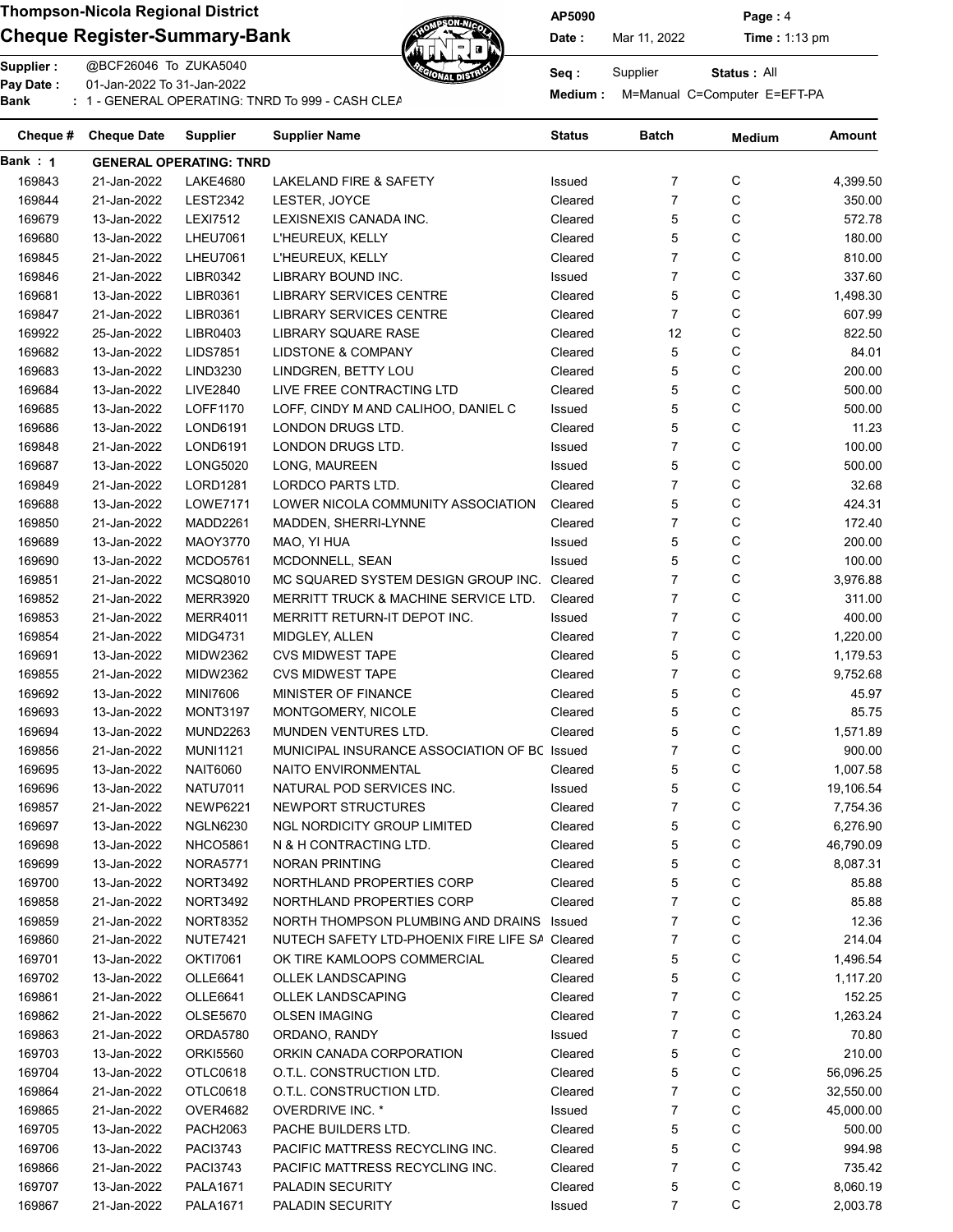### Cheque Register-Summary-Bank  $\mathbb{Z}$  Date: Mar 11, 2022 Time : 1:13 pm



AP5090 Page : 4

| Pay Date:<br>Bank | 01-Jan-2022 To 31-Jan-2022<br>: 1 - GENERAL OPERATING: TNRD To 999 - CASH CLEA |                                    | حوال المالة                                                          | <b>Medium:</b> |                | M=Manual C=Computer E=EFT-PA |           |
|-------------------|--------------------------------------------------------------------------------|------------------------------------|----------------------------------------------------------------------|----------------|----------------|------------------------------|-----------|
| Cheque #          | <b>Cheque Date</b>                                                             | <b>Supplier</b>                    | <b>Supplier Name</b>                                                 | <b>Status</b>  | <b>Batch</b>   | <b>Medium</b>                | Amount    |
| Bank: 1           |                                                                                | <b>GENERAL OPERATING: TNRD</b>     |                                                                      |                |                |                              |           |
| 169843            | 21-Jan-2022                                                                    | <b>LAKE4680</b>                    | LAKELAND FIRE & SAFETY                                               | Issued         | 7              | С                            | 4,399.50  |
| 169844            | 21-Jan-2022                                                                    | <b>LEST2342</b>                    | LESTER, JOYCE                                                        | Cleared        | $\overline{7}$ | С                            | 350.00    |
| 169679            | 13-Jan-2022                                                                    | <b>LEXI7512</b>                    | LEXISNEXIS CANADA INC.                                               | Cleared        | 5              | С                            | 572.78    |
| 169680            | 13-Jan-2022                                                                    | <b>LHEU7061</b>                    | L'HEUREUX, KELLY                                                     | Cleared        | 5              | С                            | 180.00    |
| 169845            | 21-Jan-2022                                                                    | <b>LHEU7061</b>                    | L'HEUREUX, KELLY                                                     | Cleared        | $\overline{7}$ | C                            | 810.00    |
| 169846            | 21-Jan-2022                                                                    | LIBR0342                           | LIBRARY BOUND INC.                                                   | Issued         | $\overline{7}$ | C                            | 337.60    |
| 169681            | 13-Jan-2022                                                                    | LIBR0361                           | <b>LIBRARY SERVICES CENTRE</b>                                       | Cleared        | 5              | C                            | 1,498.30  |
| 169847            | 21-Jan-2022                                                                    | LIBR0361                           | <b>LIBRARY SERVICES CENTRE</b>                                       | Cleared        | $\overline{7}$ | C                            | 607.99    |
| 169922            | 25-Jan-2022                                                                    | LIBR0403                           | <b>LIBRARY SQUARE RASE</b>                                           | Cleared        | 12             | C                            | 822.50    |
| 169682            | 13-Jan-2022                                                                    | <b>LIDS7851</b>                    | LIDSTONE & COMPANY                                                   | Cleared        | 5              | C                            | 84.01     |
| 169683            | 13-Jan-2022                                                                    | LIND3230                           | LINDGREN, BETTY LOU                                                  | Cleared        | 5              | С                            | 200.00    |
| 169684            | 13-Jan-2022                                                                    | <b>LIVE2840</b>                    | LIVE FREE CONTRACTING LTD                                            | Cleared        | 5              | С                            | 500.00    |
| 169685            | 13-Jan-2022                                                                    | LOFF1170                           | LOFF, CINDY M AND CALIHOO, DANIEL C                                  | Issued         | 5              | С                            | 500.00    |
| 169686            | 13-Jan-2022                                                                    | LOND6191                           | LONDON DRUGS LTD.                                                    | Cleared        | 5              | C                            | 11.23     |
| 169848            | 21-Jan-2022                                                                    | LOND6191                           | LONDON DRUGS LTD.                                                    | Issued         | $\overline{7}$ | C                            | 100.00    |
| 169687            | 13-Jan-2022                                                                    | <b>LONG5020</b>                    | LONG, MAUREEN                                                        | Issued         | 5              | С                            | 500.00    |
| 169849            | 21-Jan-2022                                                                    | <b>LORD1281</b>                    | LORDCO PARTS LTD.                                                    | Cleared        | $\overline{7}$ | C                            | 32.68     |
| 169688            | 13-Jan-2022                                                                    | <b>LOWE7171</b>                    | LOWER NICOLA COMMUNITY ASSOCIATION                                   | Cleared        | 5              | С                            | 424.31    |
| 169850            | 21-Jan-2022                                                                    | MADD2261                           | MADDEN, SHERRI-LYNNE                                                 | Cleared        | $\overline{7}$ | С                            | 172.40    |
| 169689            | 13-Jan-2022                                                                    | <b>MAOY3770</b>                    | MAO, YI HUA                                                          | Issued         | 5              | С                            | 200.00    |
| 169690            | 13-Jan-2022                                                                    | <b>MCDO5761</b>                    | MCDONNELL, SEAN                                                      | Issued         | 5              | С                            | 100.00    |
| 169851            | 21-Jan-2022                                                                    | <b>MCSQ8010</b>                    | MC SQUARED SYSTEM DESIGN GROUP INC.                                  | Cleared        | $\overline{7}$ | С                            | 3,976.88  |
| 169852            | 21-Jan-2022                                                                    | <b>MERR3920</b>                    | <b>MERRITT TRUCK &amp; MACHINE SERVICE LTD.</b>                      | Cleared        | $\overline{7}$ | С                            | 311.00    |
| 169853            | 21-Jan-2022                                                                    | <b>MERR4011</b>                    | MERRITT RETURN-IT DEPOT INC.                                         | Issued         | $\overline{7}$ | С                            | 400.00    |
| 169854            | 21-Jan-2022                                                                    | <b>MIDG4731</b>                    | MIDGLEY, ALLEN                                                       | Cleared        | $\overline{7}$ | С                            | 1,220.00  |
| 169691            | 13-Jan-2022                                                                    | <b>MIDW2362</b>                    | <b>CVS MIDWEST TAPE</b>                                              | Cleared        | 5              | С                            | 1,179.53  |
| 169855            | 21-Jan-2022                                                                    | <b>MIDW2362</b>                    | <b>CVS MIDWEST TAPE</b>                                              | Cleared        | $\overline{7}$ | С                            | 9,752.68  |
| 169692            | 13-Jan-2022                                                                    | <b>MINI7606</b>                    | <b>MINISTER OF FINANCE</b>                                           | Cleared        | 5              | С                            | 45.97     |
| 169693            | 13-Jan-2022                                                                    | <b>MONT3197</b>                    | MONTGOMERY, NICOLE                                                   | Cleared        | 5              | С                            | 85.75     |
|                   |                                                                                | <b>MUND2263</b>                    |                                                                      |                | 5              | С                            | 1,571.89  |
| 169694<br>169856  | 13-Jan-2022<br>21-Jan-2022                                                     | <b>MUNI1121</b>                    | MUNDEN VENTURES LTD.<br>MUNICIPAL INSURANCE ASSOCIATION OF BC Issued | Cleared        | $\overline{7}$ | C                            | 900.00    |
|                   |                                                                                |                                    |                                                                      |                |                | C                            |           |
| 169695            | 13-Jan-2022                                                                    | <b>NAIT6060</b><br><b>NATU7011</b> | NAITO ENVIRONMENTAL                                                  | Cleared        | 5              |                              | 1,007.58  |
| 169696            | 13-Jan-2022                                                                    |                                    | NATURAL POD SERVICES INC.                                            | Issued         | 5              | С                            | 19,106.54 |
| 169857            | 21-Jan-2022                                                                    | <b>NEWP6221</b>                    | NEWPORT STRUCTURES                                                   | Cleared        | 7              | С                            | 7,754.36  |
| 169697            | 13-Jan-2022                                                                    | <b>NGLN6230</b>                    | <b>NGL NORDICITY GROUP LIMITED</b>                                   | Cleared        | 5              | С                            | 6,276.90  |
| 169698            | 13-Jan-2022                                                                    | <b>NHCO5861</b>                    | N & H CONTRACTING LTD.                                               | Cleared        | 5              | С                            | 46,790.09 |
| 169699            | 13-Jan-2022                                                                    | <b>NORA5771</b>                    | <b>NORAN PRINTING</b>                                                | Cleared        | 5              | С                            | 8,087.31  |
| 169700            | 13-Jan-2022                                                                    | <b>NORT3492</b>                    | NORTHLAND PROPERTIES CORP                                            | Cleared        | 5              | C                            | 85.88     |
| 169858            | 21-Jan-2022                                                                    | <b>NORT3492</b>                    | NORTHLAND PROPERTIES CORP                                            | Cleared        | 7              | С                            | 85.88     |
| 169859            | 21-Jan-2022                                                                    | <b>NORT8352</b>                    | NORTH THOMPSON PLUMBING AND DRAINS                                   | Issued         | 7              | С                            | 12.36     |
| 169860            | 21-Jan-2022                                                                    | <b>NUTE7421</b>                    | NUTECH SAFETY LTD-PHOENIX FIRE LIFE SA Cleared                       |                | 7              | С                            | 214.04    |
| 169701            | 13-Jan-2022                                                                    | <b>OKTI7061</b>                    | OK TIRE KAMLOOPS COMMERCIAL                                          | Cleared        | 5              | C                            | 1,496.54  |
| 169702            | 13-Jan-2022                                                                    | OLLE6641                           | OLLEK LANDSCAPING                                                    | Cleared        | 5              | С                            | 1,117.20  |
| 169861            | 21-Jan-2022                                                                    | OLLE6641                           | OLLEK LANDSCAPING                                                    | Cleared        | 7              | С                            | 152.25    |
| 169862            | 21-Jan-2022                                                                    | OLSE5670                           | <b>OLSEN IMAGING</b>                                                 | Cleared        | 7              | С                            | 1,263.24  |
| 169863            | 21-Jan-2022                                                                    | ORDA5780                           | ORDANO, RANDY                                                        | Issued         | 7              | С                            | 70.80     |
| 169703            | 13-Jan-2022                                                                    | <b>ORKI5560</b>                    | ORKIN CANADA CORPORATION                                             | Cleared        | 5              | $\mathsf C$                  | 210.00    |

 13-Jan-2022 OTLC0618 O.T.L. CONSTRUCTION LTD. Cleared 5 C 56,096.25 21-Jan-2022 OTLC0618 O.T.L. CONSTRUCTION LTD. Cleared 7 C 32,550.00 21-Jan-2022 OVER4682 OVERDRIVE INC. \* Issued 7 C 45,000.00 13-Jan-2022 PACH2063 PACHE BUILDERS LTD. Cleared 5 C 500.00 13-Jan-2022 PACI3743 PACIFIC MATTRESS RECYCLING INC. Cleared 5 C 994.98 169866 21-Jan-2022 PACI3743 PACIFIC MATTRESS RECYCLING INC. Cleared 7 C C 735.42 13-Jan-2022 PALA1671 PALADIN SECURITY Cleared 5 C 8,060.19 169867 21-Jan-2022 PALA1671 PALADIN SECURITY ISSued 7 C 2,003.78

Status: All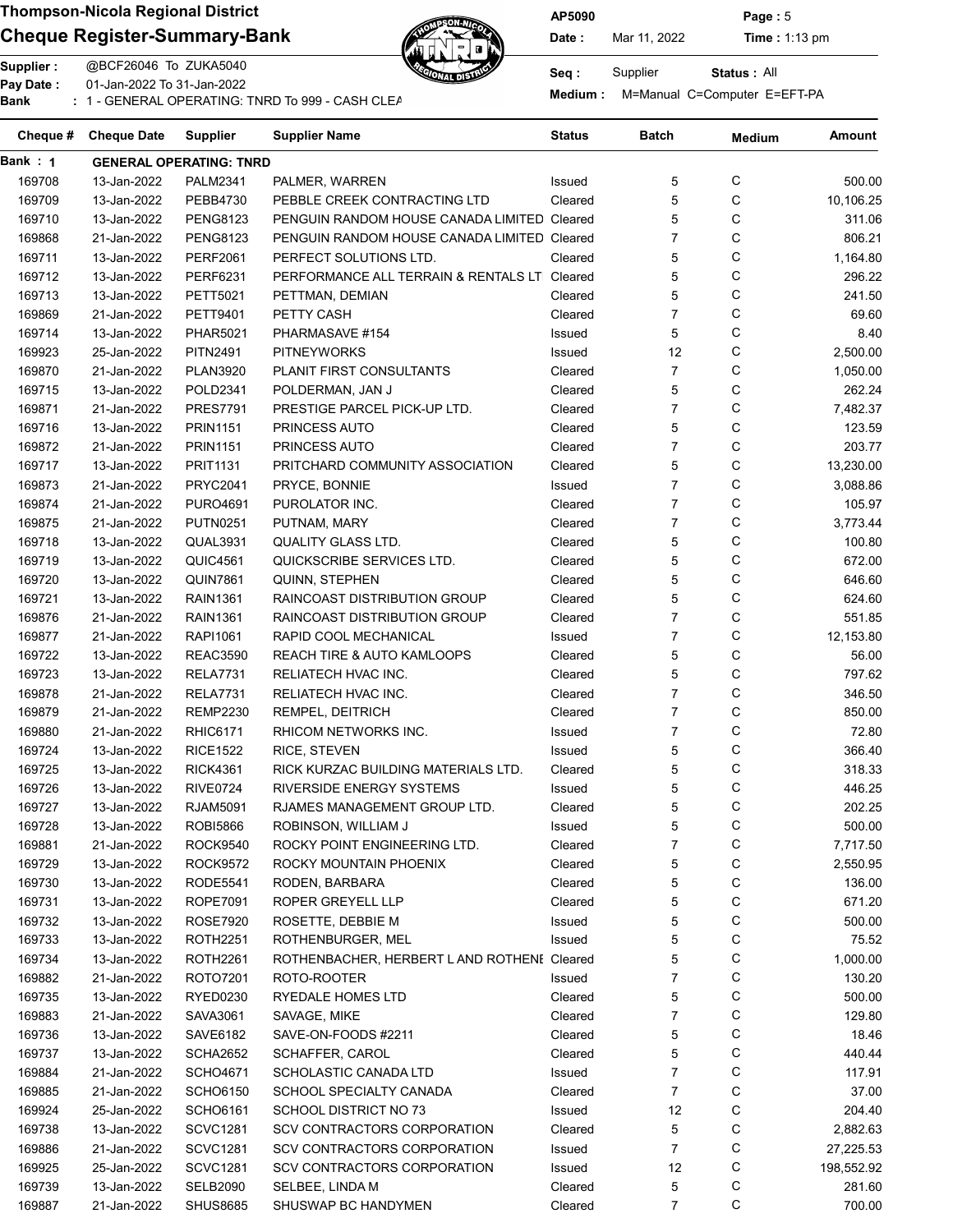### Cheque Register-Summary-Bank Date: Nar 11, 2022 Time : 1:13 pm



Pay Date : Constant Collection of the Manual C=Computer E=EFT-PA<br>Bank : 1 - GENERAL OPERATING: TNRD To 999 - CASH CLEARNING BANKING BANKING Medium : M=Manual C=Computer E=EFT-PA



Status : All

| Cheque # | <b>Cheque Date</b> | <b>Supplier</b>                | Supplier Name                                | Status  | Batch          | <b>Medium</b> | Amount     |
|----------|--------------------|--------------------------------|----------------------------------------------|---------|----------------|---------------|------------|
| Bank: 1  |                    | <b>GENERAL OPERATING: TNRD</b> |                                              |         |                |               |            |
| 169708   | 13-Jan-2022        | <b>PALM2341</b>                | PALMER, WARREN                               | Issued  | 5              | С             | 500.00     |
| 169709   | 13-Jan-2022        | PEBB4730                       | PEBBLE CREEK CONTRACTING LTD                 | Cleared | 5              | С             | 10,106.25  |
| 169710   | 13-Jan-2022        | <b>PENG8123</b>                | PENGUIN RANDOM HOUSE CANADA LIMITED Cleared  |         | 5              | С             | 311.06     |
| 169868   | 21-Jan-2022        | <b>PENG8123</b>                | PENGUIN RANDOM HOUSE CANADA LIMITED Cleared  |         | $\overline{7}$ | С             | 806.21     |
| 169711   | 13-Jan-2022        | <b>PERF2061</b>                | PERFECT SOLUTIONS LTD.                       | Cleared | 5              | C             | 1,164.80   |
| 169712   | 13-Jan-2022        | PERF6231                       | PERFORMANCE ALL TERRAIN & RENTALS LT Cleared |         | 5              | С             | 296.22     |
| 169713   | 13-Jan-2022        | PETT5021                       | PETTMAN, DEMIAN                              | Cleared | 5              | С             | 241.50     |
| 169869   | 21-Jan-2022        | PETT9401                       | PETTY CASH                                   | Cleared | $\overline{7}$ | С             | 69.60      |
| 169714   | 13-Jan-2022        | <b>PHAR5021</b>                | PHARMASAVE #154                              | Issued  | 5              | С             | 8.40       |
| 169923   | 25-Jan-2022        | <b>PITN2491</b>                | <b>PITNEYWORKS</b>                           | Issued  | 12             | С             | 2,500.00   |
| 169870   | 21-Jan-2022        | <b>PLAN3920</b>                | PLANIT FIRST CONSULTANTS                     | Cleared | $\overline{7}$ | С             | 1,050.00   |
| 169715   | 13-Jan-2022        | POLD2341                       | POLDERMAN, JAN J                             | Cleared | 5              | C             | 262.24     |
| 169871   | 21-Jan-2022        | <b>PRES7791</b>                | PRESTIGE PARCEL PICK-UP LTD.                 | Cleared | $\overline{7}$ | C             | 7,482.37   |
| 169716   | 13-Jan-2022        | <b>PRIN1151</b>                | PRINCESS AUTO                                | Cleared | 5              | C             | 123.59     |
| 169872   | 21-Jan-2022        | <b>PRIN1151</b>                | PRINCESS AUTO                                | Cleared | $\overline{7}$ | С             | 203.77     |
| 169717   | 13-Jan-2022        | <b>PRIT1131</b>                | PRITCHARD COMMUNITY ASSOCIATION              | Cleared | 5              | С             | 13,230.00  |
| 169873   | 21-Jan-2022        | <b>PRYC2041</b>                | PRYCE, BONNIE                                | Issued  | $\overline{7}$ | С             | 3,088.86   |
| 169874   | 21-Jan-2022        | <b>PURO4691</b>                | PUROLATOR INC.                               | Cleared | $\overline{7}$ | С             | 105.97     |
| 169875   | 21-Jan-2022        | <b>PUTN0251</b>                | PUTNAM, MARY                                 | Cleared | $\overline{7}$ | С             | 3,773.44   |
| 169718   | 13-Jan-2022        | QUAL3931                       | QUALITY GLASS LTD.                           | Cleared | 5              | C             | 100.80     |
| 169719   | 13-Jan-2022        | <b>QUIC4561</b>                | QUICKSCRIBE SERVICES LTD.                    | Cleared | 5              | С             | 672.00     |
| 169720   | 13-Jan-2022        | <b>QUIN7861</b>                | <b>QUINN, STEPHEN</b>                        | Cleared | 5              | С             | 646.60     |
| 169721   | 13-Jan-2022        | <b>RAIN1361</b>                | RAINCOAST DISTRIBUTION GROUP                 | Cleared | 5              | С             | 624.60     |
| 169876   | 21-Jan-2022        | <b>RAIN1361</b>                | RAINCOAST DISTRIBUTION GROUP                 | Cleared | $\overline{7}$ | С             | 551.85     |
| 169877   | 21-Jan-2022        | RAPI1061                       | RAPID COOL MECHANICAL                        | Issued  | 7              | С             | 12,153.80  |
| 169722   | 13-Jan-2022        | <b>REAC3590</b>                | <b>REACH TIRE &amp; AUTO KAMLOOPS</b>        | Cleared | 5              | С             | 56.00      |
| 169723   | 13-Jan-2022        | <b>RELA7731</b>                | RELIATECH HVAC INC.                          | Cleared | 5              | С             | 797.62     |
| 169878   | 21-Jan-2022        | <b>RELA7731</b>                | RELIATECH HVAC INC.                          | Cleared | $\overline{7}$ | С             | 346.50     |
| 169879   | 21-Jan-2022        | <b>REMP2230</b>                | REMPEL, DEITRICH                             | Cleared | $\overline{7}$ | C             | 850.00     |
| 169880   | 21-Jan-2022        | <b>RHIC6171</b>                | RHICOM NETWORKS INC.                         | Issued  | 7              | С             | 72.80      |
| 169724   | 13-Jan-2022        | <b>RICE1522</b>                | RICE, STEVEN                                 | Issued  | 5              | С             | 366.40     |
| 169725   | 13-Jan-2022        | <b>RICK4361</b>                | RICK KURZAC BUILDING MATERIALS LTD.          | Cleared | 5              | С             | 318.33     |
| 169726   | 13-Jan-2022        | <b>RIVE0724</b>                | RIVERSIDE ENERGY SYSTEMS                     |         | 5              | С             | 446.25     |
|          |                    |                                | RJAMES MANAGEMENT GROUP LTD.                 | Issued  | 5              | C             |            |
| 169727   | 13-Jan-2022        | <b>RJAM5091</b>                |                                              | Cleared |                | С             | 202.25     |
| 169728   | 13-Jan-2022        | ROBI5866                       | ROBINSON, WILLIAM J                          | Issued  | 5              |               | 500.00     |
| 169881   | 21-Jan-2022        | ROCK9540                       | ROCKY POINT ENGINEERING LTD.                 | Cleared | 7              | С             | 7,717.50   |
| 169729   | 13-Jan-2022        | ROCK9572                       | ROCKY MOUNTAIN PHOENIX                       | Cleared | 5              | C             | 2,550.95   |
| 169730   | 13-Jan-2022        | RODE5541                       | RODEN, BARBARA                               | Cleared | 5              | C             | 136.00     |
| 169731   | 13-Jan-2022        | ROPE7091                       | ROPER GREYELL LLP                            | Cleared | 5              | С             | 671.20     |
| 169732   | 13-Jan-2022        | ROSE7920                       | ROSETTE, DEBBIE M                            | Issued  | 5              | C             | 500.00     |
| 169733   | 13-Jan-2022        | ROTH2251                       | ROTHENBURGER, MEL                            | Issued  | 5              | C             | 75.52      |
| 169734   | 13-Jan-2022        | ROTH2261                       | ROTHENBACHER, HERBERT L AND ROTHENI Cleared  |         | 5              | C             | 1,000.00   |
| 169882   | 21-Jan-2022        | ROTO7201                       | ROTO-ROOTER                                  | Issued  | 7              | C             | 130.20     |
| 169735   | 13-Jan-2022        | RYED0230                       | <b>RYEDALE HOMES LTD</b>                     | Cleared | 5              | C             | 500.00     |
| 169883   | 21-Jan-2022        | SAVA3061                       | SAVAGE, MIKE                                 | Cleared | 7              | C             | 129.80     |
| 169736   | 13-Jan-2022        | SAVE6182                       | SAVE-ON-FOODS #2211                          | Cleared | 5              | C             | 18.46      |
| 169737   | 13-Jan-2022        | SCHA2652                       | SCHAFFER, CAROL                              | Cleared | 5              | C             | 440.44     |
| 169884   | 21-Jan-2022        | SCHO4671                       | SCHOLASTIC CANADA LTD                        | Issued  | 7              | C             | 117.91     |
| 169885   | 21-Jan-2022        | <b>SCHO6150</b>                | SCHOOL SPECIALTY CANADA                      | Cleared | $\overline{7}$ | C             | 37.00      |
| 169924   | 25-Jan-2022        | SCHO6161                       | <b>SCHOOL DISTRICT NO 73</b>                 | Issued  | 12             | С             | 204.40     |
| 169738   | 13-Jan-2022        | <b>SCVC1281</b>                | SCV CONTRACTORS CORPORATION                  | Cleared | 5              | C             | 2,882.63   |
| 169886   | 21-Jan-2022        | <b>SCVC1281</b>                | SCV CONTRACTORS CORPORATION                  | Issued  | $\overline{7}$ | C             | 27,225.53  |
| 169925   | 25-Jan-2022        | <b>SCVC1281</b>                | SCV CONTRACTORS CORPORATION                  | Issued  | 12             | С             | 198,552.92 |
| 169739   | 13-Jan-2022        | <b>SELB2090</b>                | SELBEE, LINDA M                              | Cleared | 5              | С             | 281.60     |
| 169887   | 21-Jan-2022        | <b>SHUS8685</b>                | SHUSWAP BC HANDYMEN                          | Cleared | $\overline{7}$ | С             | 700.00     |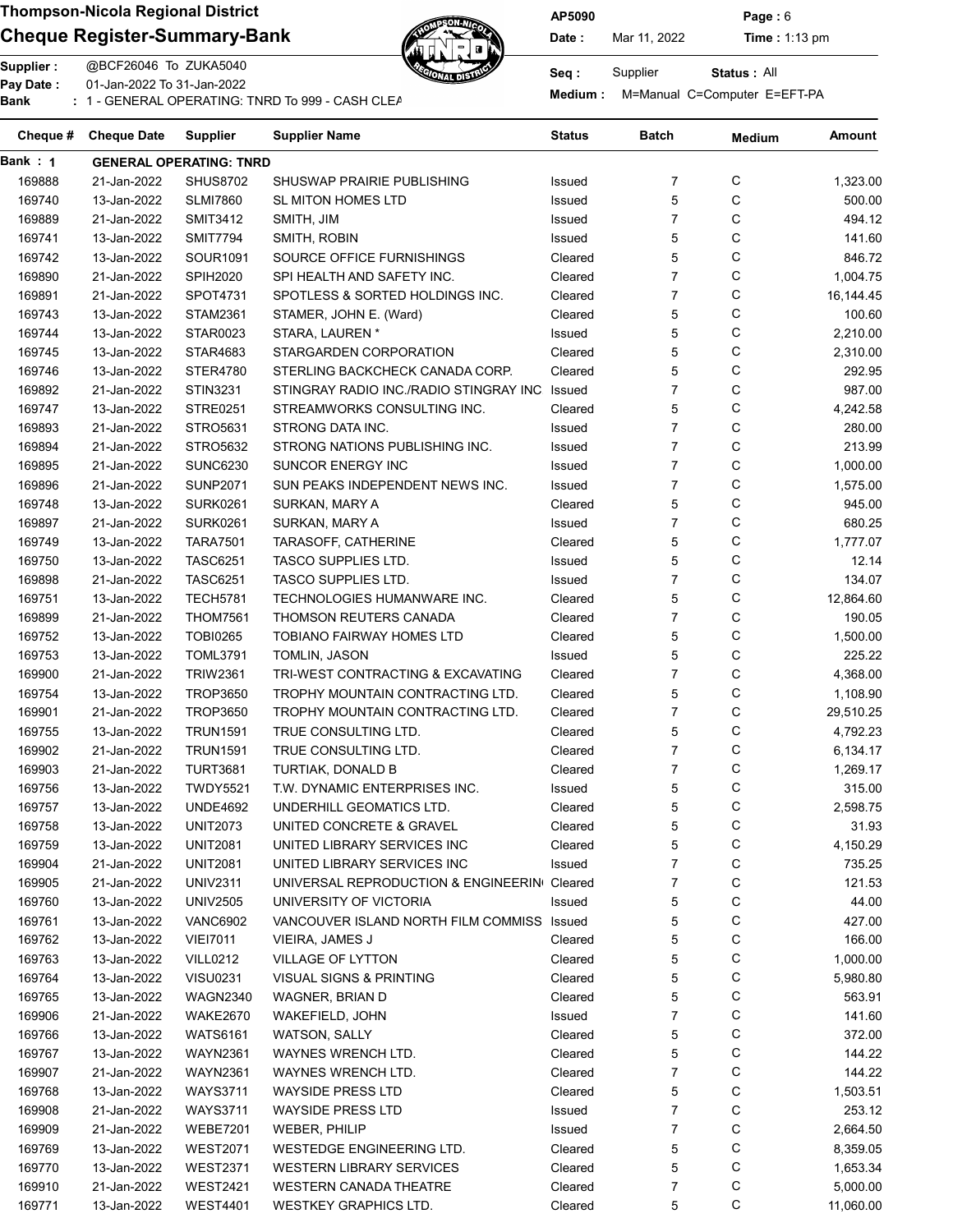## Cheque Register-Summary-Bank Date: Nar 11, 2022 Time : 1:13 pm



AP5090 Page : 6

Status : All

Supplier : @BCF26046 To ZUKA5040 Seq : Supplier Pay Date : 01-Jan-2022 To 31-Jan-2022 Pay Date : Constant Collection of the Manual C=Computer E=EFT-PA<br>Bank : 1 - GENERAL OPERATING: TNRD To 999 - CASH CLEARNING BANKING BANKING Medium : M=Manual C=Computer E=EFT-PA

| Cheque # | <b>Cheque Date</b> | Supplier                       | Supplier Name                               | Status  | Batch          | <b>Medium</b> | Amount    |
|----------|--------------------|--------------------------------|---------------------------------------------|---------|----------------|---------------|-----------|
| Bank : 1 |                    | <b>GENERAL OPERATING: TNRD</b> |                                             |         |                |               |           |
| 169888   | 21-Jan-2022        | <b>SHUS8702</b>                | SHUSWAP PRAIRIE PUBLISHING                  | Issued  | $\overline{7}$ | С             | 1,323.00  |
| 169740   | 13-Jan-2022        | <b>SLMI7860</b>                | SL MITON HOMES LTD                          | Issued  | 5              | С             | 500.00    |
| 169889   | 21-Jan-2022        | <b>SMIT3412</b>                | SMITH, JIM                                  | Issued  | $\overline{7}$ | C             | 494.12    |
| 169741   | 13-Jan-2022        | <b>SMIT7794</b>                | SMITH, ROBIN                                | Issued  | 5              | C             | 141.60    |
| 169742   | 13-Jan-2022        | SOUR1091                       | SOURCE OFFICE FURNISHINGS                   | Cleared | 5              | С             | 846.72    |
| 169890   | 21-Jan-2022        | <b>SPIH2020</b>                | SPI HEALTH AND SAFETY INC.                  | Cleared | 7              | С             | 1,004.75  |
| 169891   | 21-Jan-2022        | SPOT4731                       | SPOTLESS & SORTED HOLDINGS INC.             | Cleared | $\overline{7}$ | С             | 16,144.45 |
| 169743   | 13-Jan-2022        | <b>STAM2361</b>                | STAMER, JOHN E. (Ward)                      | Cleared | 5              | С             | 100.60    |
| 169744   | 13-Jan-2022        | STAR0023                       | STARA, LAUREN *                             | Issued  | 5              | С             | 2,210.00  |
| 169745   | 13-Jan-2022        | STAR4683                       | STARGARDEN CORPORATION                      | Cleared | 5              | C             | 2,310.00  |
| 169746   | 13-Jan-2022        | STER4780                       | STERLING BACKCHECK CANADA CORP.             | Cleared | 5              | C             | 292.95    |
| 169892   | 21-Jan-2022        | <b>STIN3231</b>                | STINGRAY RADIO INC./RADIO STINGRAY INC      | Issued  | $\overline{7}$ | С             | 987.00    |
| 169747   | 13-Jan-2022        | <b>STRE0251</b>                | STREAMWORKS CONSULTING INC.                 | Cleared | 5              | С             | 4,242.58  |
| 169893   | 21-Jan-2022        | STRO5631                       | STRONG DATA INC.                            | Issued  | $\overline{7}$ | C             | 280.00    |
| 169894   | 21-Jan-2022        | STRO5632                       | STRONG NATIONS PUBLISHING INC.              | Issued  | $\overline{7}$ | C             | 213.99    |
| 169895   | 21-Jan-2022        | <b>SUNC6230</b>                | <b>SUNCOR ENERGY INC</b>                    | Issued  | $\overline{7}$ | С             | 1,000.00  |
| 169896   | 21-Jan-2022        | <b>SUNP2071</b>                | SUN PEAKS INDEPENDENT NEWS INC.             | Issued  | $\overline{7}$ | С             |           |
|          |                    |                                |                                             |         |                |               | 1,575.00  |
| 169748   | 13-Jan-2022        | <b>SURK0261</b>                | SURKAN, MARY A                              | Cleared | 5              | С             | 945.00    |
| 169897   | 21-Jan-2022        | <b>SURK0261</b>                | SURKAN, MARY A                              | Issued  | $\overline{7}$ | С             | 680.25    |
| 169749   | 13-Jan-2022        | <b>TARA7501</b>                | TARASOFF, CATHERINE                         | Cleared | 5              | С             | 1,777.07  |
| 169750   | 13-Jan-2022        | <b>TASC6251</b>                | <b>TASCO SUPPLIES LTD.</b>                  | Issued  | 5              | С             | 12.14     |
| 169898   | 21-Jan-2022        | <b>TASC6251</b>                | <b>TASCO SUPPLIES LTD.</b>                  | Issued  | $\overline{7}$ | С             | 134.07    |
| 169751   | 13-Jan-2022        | <b>TECH5781</b>                | TECHNOLOGIES HUMANWARE INC.                 | Cleared | 5              | С             | 12,864.60 |
| 169899   | 21-Jan-2022        | <b>THOM7561</b>                | THOMSON REUTERS CANADA                      | Cleared | $\overline{7}$ | С             | 190.05    |
| 169752   | 13-Jan-2022        | <b>TOBI0265</b>                | <b>TOBIANO FAIRWAY HOMES LTD</b>            | Cleared | 5              | C             | 1,500.00  |
| 169753   | 13-Jan-2022        | <b>TOML3791</b>                | TOMLIN, JASON                               | Issued  | 5              | C             | 225.22    |
| 169900   | 21-Jan-2022        | <b>TRIW2361</b>                | TRI-WEST CONTRACTING & EXCAVATING           | Cleared | $\overline{7}$ | C             | 4,368.00  |
| 169754   | 13-Jan-2022        | <b>TROP3650</b>                | TROPHY MOUNTAIN CONTRACTING LTD.            | Cleared | 5              | C             | 1,108.90  |
| 169901   | 21-Jan-2022        | <b>TROP3650</b>                | TROPHY MOUNTAIN CONTRACTING LTD.            | Cleared | $\overline{7}$ | C             | 29,510.25 |
| 169755   | 13-Jan-2022        | <b>TRUN1591</b>                | TRUE CONSULTING LTD.                        | Cleared | 5              | С             | 4,792.23  |
| 169902   | 21-Jan-2022        | <b>TRUN1591</b>                | TRUE CONSULTING LTD.                        | Cleared | $\overline{7}$ | С             | 6,134.17  |
| 169903   | 21-Jan-2022        | <b>TURT3681</b>                | TURTIAK, DONALD B                           | Cleared | $\overline{7}$ | С             | 1,269.17  |
| 169756   | 13-Jan-2022        | <b>TWDY5521</b>                | T.W. DYNAMIC ENTERPRISES INC.               | Issued  | 5              | C             | 315.00    |
| 169757   | 13-Jan-2022        | <b>UNDE4692</b>                | UNDERHILL GEOMATICS LTD.                    | Cleared | 5              | C             | 2,598.75  |
| 169758   | 13-Jan-2022        | <b>UNIT2073</b>                | UNITED CONCRETE & GRAVEL                    | Cleared | 5              | C             | 31.93     |
| 169759   | 13-Jan-2022        | <b>UNIT2081</b>                | UNITED LIBRARY SERVICES INC                 | Cleared | 5              | C             | 4,150.29  |
| 169904   | 21-Jan-2022        | <b>UNIT2081</b>                | UNITED LIBRARY SERVICES INC                 | Issued  | 7              | C             | 735.25    |
| 169905   | 21-Jan-2022        | <b>UNIV2311</b>                | UNIVERSAL REPRODUCTION & ENGINEERIN Cleared |         | 7              | C             | 121.53    |
| 169760   | 13-Jan-2022        | <b>UNIV2505</b>                | UNIVERSITY OF VICTORIA                      | Issued  | 5              | C             | 44.00     |
| 169761   | 13-Jan-2022        | <b>VANC6902</b>                | VANCOUVER ISLAND NORTH FILM COMMISS         | Issued  | 5              | C             | 427.00    |
| 169762   | 13-Jan-2022        | <b>VIEI7011</b>                | VIEIRA, JAMES J                             | Cleared | 5              | C             | 166.00    |
| 169763   | 13-Jan-2022        | <b>VILL0212</b>                | VILLAGE OF LYTTON                           | Cleared | 5              | C             | 1,000.00  |
| 169764   | 13-Jan-2022        | <b>VISU0231</b>                | <b>VISUAL SIGNS &amp; PRINTING</b>          | Cleared | 5              | C             | 5,980.80  |
| 169765   | 13-Jan-2022        | <b>WAGN2340</b>                | WAGNER, BRIAN D                             | Cleared | 5              | C             | 563.91    |
| 169906   | 21-Jan-2022        | <b>WAKE2670</b>                | WAKEFIELD, JOHN                             | Issued  | 7              | C             | 141.60    |
| 169766   | 13-Jan-2022        | <b>WATS6161</b>                | WATSON, SALLY                               | Cleared | 5              | C             | 372.00    |
| 169767   | 13-Jan-2022        | <b>WAYN2361</b>                | WAYNES WRENCH LTD.                          | Cleared | 5              | C             | 144.22    |
|          |                    |                                |                                             |         |                |               |           |
| 169907   | 21-Jan-2022        | <b>WAYN2361</b>                | WAYNES WRENCH LTD.                          | Cleared | 7              | C             | 144.22    |
| 169768   | 13-Jan-2022        | <b>WAYS3711</b>                | <b>WAYSIDE PRESS LTD</b>                    | Cleared | 5              | C             | 1,503.51  |
| 169908   | 21-Jan-2022        | <b>WAYS3711</b>                | <b>WAYSIDE PRESS LTD</b>                    | Issued  | 7              | C             | 253.12    |
| 169909   | 21-Jan-2022        | <b>WEBE7201</b>                | WEBER, PHILIP                               | Issued  | 7              | C             | 2,664.50  |
| 169769   | 13-Jan-2022        | <b>WEST2071</b>                | WESTEDGE ENGINEERING LTD.                   | Cleared | 5              | C             | 8,359.05  |
| 169770   | 13-Jan-2022        | <b>WEST2371</b>                | <b>WESTERN LIBRARY SERVICES</b>             | Cleared | 5              | C             | 1,653.34  |
| 169910   | 21-Jan-2022        | <b>WEST2421</b>                | <b>WESTERN CANADA THEATRE</b>               | Cleared | 7              | C             | 5,000.00  |
| 169771   | 13-Jan-2022        | <b>WEST4401</b>                | <b>WESTKEY GRAPHICS LTD.</b>                | Cleared | 5              | С             | 11,060.00 |